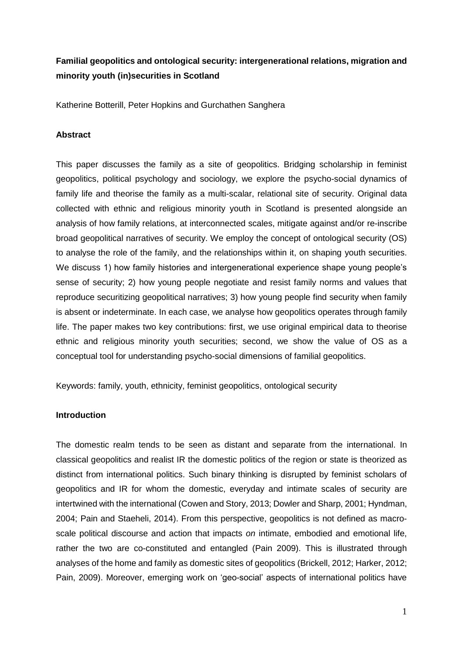# **Familial geopolitics and ontological security: intergenerational relations, migration and minority youth (in)securities in Scotland**

Katherine Botterill, Peter Hopkins and Gurchathen Sanghera

# **Abstract**

This paper discusses the family as a site of geopolitics. Bridging scholarship in feminist geopolitics, political psychology and sociology, we explore the psycho-social dynamics of family life and theorise the family as a multi-scalar, relational site of security. Original data collected with ethnic and religious minority youth in Scotland is presented alongside an analysis of how family relations, at interconnected scales, mitigate against and/or re-inscribe broad geopolitical narratives of security. We employ the concept of ontological security (OS) to analyse the role of the family, and the relationships within it, on shaping youth securities. We discuss 1) how family histories and intergenerational experience shape young people's sense of security; 2) how young people negotiate and resist family norms and values that reproduce securitizing geopolitical narratives; 3) how young people find security when family is absent or indeterminate. In each case, we analyse how geopolitics operates through family life. The paper makes two key contributions: first, we use original empirical data to theorise ethnic and religious minority youth securities; second, we show the value of OS as a conceptual tool for understanding psycho-social dimensions of familial geopolitics.

Keywords: family, youth, ethnicity, feminist geopolitics, ontological security

### **Introduction**

The domestic realm tends to be seen as distant and separate from the international. In classical geopolitics and realist IR the domestic politics of the region or state is theorized as distinct from international politics. Such binary thinking is disrupted by feminist scholars of geopolitics and IR for whom the domestic, everyday and intimate scales of security are intertwined with the international (Cowen and Story, 2013; Dowler and Sharp, 2001; Hyndman, 2004; Pain and Staeheli, 2014). From this perspective, geopolitics is not defined as macroscale political discourse and action that impacts *on* intimate, embodied and emotional life, rather the two are co-constituted and entangled (Pain 2009). This is illustrated through analyses of the home and family as domestic sites of geopolitics (Brickell, 2012; Harker, 2012; Pain, 2009). Moreover, emerging work on 'geo-social' aspects of international politics have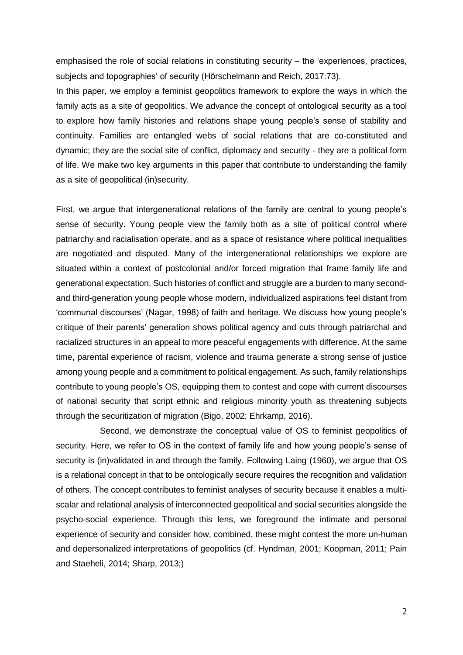emphasised the role of social relations in constituting security – the 'experiences, practices, subjects and topographies' of security (Hörschelmann and Reich, 2017:73).

In this paper, we employ a feminist geopolitics framework to explore the ways in which the family acts as a site of geopolitics. We advance the concept of ontological security as a tool to explore how family histories and relations shape young people's sense of stability and continuity. Families are entangled webs of social relations that are co-constituted and dynamic; they are the social site of conflict, diplomacy and security - they are a political form of life. We make two key arguments in this paper that contribute to understanding the family as a site of geopolitical (in)security.

First, we argue that intergenerational relations of the family are central to young people's sense of security. Young people view the family both as a site of political control where patriarchy and racialisation operate, and as a space of resistance where political inequalities are negotiated and disputed. Many of the intergenerational relationships we explore are situated within a context of postcolonial and/or forced migration that frame family life and generational expectation. Such histories of conflict and struggle are a burden to many secondand third-generation young people whose modern, individualized aspirations feel distant from 'communal discourses' (Nagar, 1998) of faith and heritage. We discuss how young people's critique of their parents' generation shows political agency and cuts through patriarchal and racialized structures in an appeal to more peaceful engagements with difference. At the same time, parental experience of racism, violence and trauma generate a strong sense of justice among young people and a commitment to political engagement. As such, family relationships contribute to young people's OS, equipping them to contest and cope with current discourses of national security that script ethnic and religious minority youth as threatening subjects through the securitization of migration (Bigo, 2002; Ehrkamp, 2016).

Second, we demonstrate the conceptual value of OS to feminist geopolitics of security. Here, we refer to OS in the context of family life and how young people's sense of security is (in)validated in and through the family. Following Laing (1960), we argue that OS is a relational concept in that to be ontologically secure requires the recognition and validation of others. The concept contributes to feminist analyses of security because it enables a multiscalar and relational analysis of interconnected geopolitical and social securities alongside the psycho-social experience. Through this lens, we foreground the intimate and personal experience of security and consider how, combined, these might contest the more un-human and depersonalized interpretations of geopolitics (cf. Hyndman, 2001; Koopman, 2011; Pain and Staeheli, 2014; Sharp, 2013;)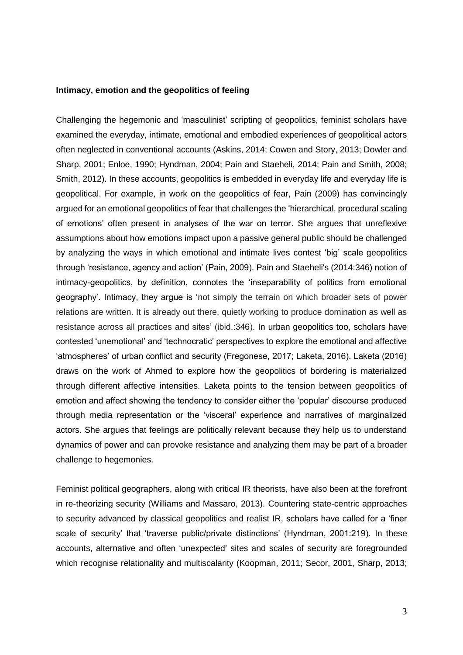### **Intimacy, emotion and the geopolitics of feeling**

Challenging the hegemonic and 'masculinist' scripting of geopolitics, feminist scholars have examined the everyday, intimate, emotional and embodied experiences of geopolitical actors often neglected in conventional accounts (Askins, 2014; Cowen and Story, 2013; Dowler and Sharp, 2001; Enloe, 1990; Hyndman, 2004; Pain and Staeheli, 2014; Pain and Smith, 2008; Smith, 2012). In these accounts, geopolitics is embedded in everyday life and everyday life is geopolitical. For example, in work on the geopolitics of fear, Pain (2009) has convincingly argued for an emotional geopolitics of fear that challenges the 'hierarchical, procedural scaling of emotions' often present in analyses of the war on terror. She argues that unreflexive assumptions about how emotions impact upon a passive general public should be challenged by analyzing the ways in which emotional and intimate lives contest 'big' scale geopolitics through 'resistance, agency and action' (Pain, 2009). Pain and Staeheli's (2014:346) notion of intimacy-geopolitics, by definition, connotes the 'inseparability of politics from emotional geography'. Intimacy, they argue is 'not simply the terrain on which broader sets of power relations are written. It is already out there, quietly working to produce domination as well as resistance across all practices and sites' (ibid.:346). In urban geopolitics too, scholars have contested 'unemotional' and 'technocratic' perspectives to explore the emotional and affective 'atmospheres' of urban conflict and security (Fregonese, 2017; Laketa, 2016). Laketa (2016) draws on the work of Ahmed to explore how the geopolitics of bordering is materialized through different affective intensities. Laketa points to the tension between geopolitics of emotion and affect showing the tendency to consider either the 'popular' discourse produced through media representation or the 'visceral' experience and narratives of marginalized actors. She argues that feelings are politically relevant because they help us to understand dynamics of power and can provoke resistance and analyzing them may be part of a broader challenge to hegemonies.

Feminist political geographers, along with critical IR theorists, have also been at the forefront in re-theorizing security (Williams and Massaro, 2013). Countering state-centric approaches to security advanced by classical geopolitics and realist IR, scholars have called for a 'finer scale of security' that 'traverse public/private distinctions' (Hyndman, 2001:219). In these accounts, alternative and often 'unexpected' sites and scales of security are foregrounded which recognise relationality and multiscalarity (Koopman, 2011; Secor, 2001, Sharp, 2013;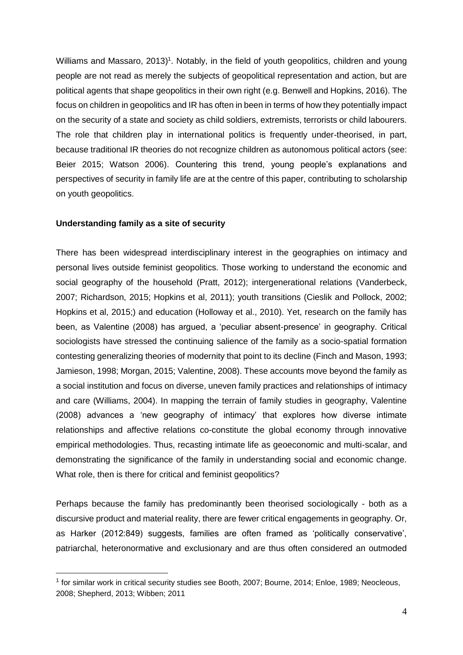Williams and Massaro, 2013)<sup>1</sup>. Notably, in the field of youth geopolitics, children and young people are not read as merely the subjects of geopolitical representation and action, but are political agents that shape geopolitics in their own right (e.g. Benwell and Hopkins, 2016). The focus on children in geopolitics and IR has often in been in terms of how they potentially impact on the security of a state and society as child soldiers, extremists, terrorists or child labourers. The role that children play in international politics is frequently under-theorised, in part, because traditional IR theories do not recognize children as autonomous political actors (see: Beier 2015; Watson 2006). Countering this trend, young people's explanations and perspectives of security in family life are at the centre of this paper, contributing to scholarship on youth geopolitics.

### **Understanding family as a site of security**

1

There has been widespread interdisciplinary interest in the geographies on intimacy and personal lives outside feminist geopolitics. Those working to understand the economic and social geography of the household (Pratt, 2012); intergenerational relations (Vanderbeck, 2007; Richardson, 2015; Hopkins et al, 2011); youth transitions (Cieslik and Pollock, 2002; Hopkins et al, 2015;) and education (Holloway et al., 2010). Yet, research on the family has been, as Valentine (2008) has argued, a 'peculiar absent-presence' in geography. Critical sociologists have stressed the continuing salience of the family as a socio-spatial formation contesting generalizing theories of modernity that point to its decline (Finch and Mason, 1993; Jamieson, 1998; Morgan, 2015; Valentine, 2008). These accounts move beyond the family as a social institution and focus on diverse, uneven family practices and relationships of intimacy and care (Williams, 2004). In mapping the terrain of family studies in geography, Valentine (2008) advances a 'new geography of intimacy' that explores how diverse intimate relationships and affective relations co-constitute the global economy through innovative empirical methodologies. Thus, recasting intimate life as geoeconomic and multi-scalar, and demonstrating the significance of the family in understanding social and economic change. What role, then is there for critical and feminist geopolitics?

Perhaps because the family has predominantly been theorised sociologically - both as a discursive product and material reality, there are fewer critical engagements in geography. Or, as Harker (2012:849) suggests, families are often framed as 'politically conservative', patriarchal, heteronormative and exclusionary and are thus often considered an outmoded

<sup>&</sup>lt;sup>1</sup> for similar work in critical security studies see Booth, 2007; Bourne, 2014; Enloe, 1989; Neocleous, 2008; Shepherd, 2013; Wibben; 2011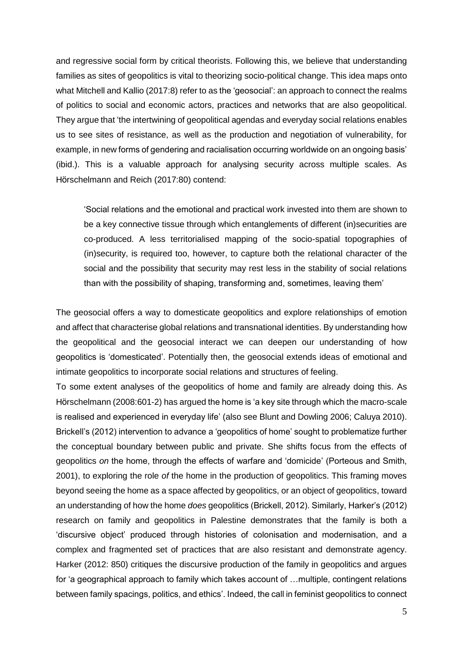and regressive social form by critical theorists. Following this, we believe that understanding families as sites of geopolitics is vital to theorizing socio-political change. This idea maps onto what Mitchell and Kallio (2017:8) refer to as the 'geosocial': an approach to connect the realms of politics to social and economic actors, practices and networks that are also geopolitical. They argue that 'the intertwining of geopolitical agendas and everyday social relations enables us to see sites of resistance, as well as the production and negotiation of vulnerability, for example, in new forms of gendering and racialisation occurring worldwide on an ongoing basis' (ibid.). This is a valuable approach for analysing security across multiple scales. As Hörschelmann and Reich (2017:80) contend:

'Social relations and the emotional and practical work invested into them are shown to be a key connective tissue through which entanglements of different (in)securities are co-produced. A less territorialised mapping of the socio-spatial topographies of (in)security, is required too, however, to capture both the relational character of the social and the possibility that security may rest less in the stability of social relations than with the possibility of shaping, transforming and, sometimes, leaving them'

The geosocial offers a way to domesticate geopolitics and explore relationships of emotion and affect that characterise global relations and transnational identities. By understanding how the geopolitical and the geosocial interact we can deepen our understanding of how geopolitics is 'domesticated'. Potentially then, the geosocial extends ideas of emotional and intimate geopolitics to incorporate social relations and structures of feeling.

To some extent analyses of the geopolitics of home and family are already doing this. As Hörschelmann (2008:601-2) has argued the home is 'a key site through which the macro-scale is realised and experienced in everyday life' (also see Blunt and Dowling 2006; Caluya 2010). Brickell's (2012) intervention to advance a 'geopolitics of home' sought to problematize further the conceptual boundary between public and private. She shifts focus from the effects of geopolitics *on* the home, through the effects of warfare and 'domicide' (Porteous and Smith, 2001), to exploring the role *of* the home in the production of geopolitics. This framing moves beyond seeing the home as a space affected by geopolitics, or an object of geopolitics, toward an understanding of how the home *does* geopolitics (Brickell, 2012). Similarly, Harker's (2012) research on family and geopolitics in Palestine demonstrates that the family is both a 'discursive object' produced through histories of colonisation and modernisation, and a complex and fragmented set of practices that are also resistant and demonstrate agency. Harker (2012: 850) critiques the discursive production of the family in geopolitics and argues for 'a geographical approach to family which takes account of …multiple, contingent relations between family spacings, politics, and ethics'. Indeed, the call in feminist geopolitics to connect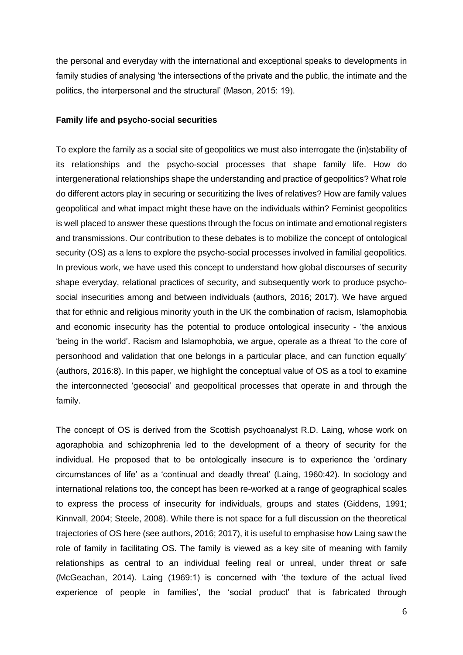the personal and everyday with the international and exceptional speaks to developments in family studies of analysing 'the intersections of the private and the public, the intimate and the politics, the interpersonal and the structural' (Mason, 2015: 19).

### **Family life and psycho-social securities**

To explore the family as a social site of geopolitics we must also interrogate the (in)stability of its relationships and the psycho-social processes that shape family life. How do intergenerational relationships shape the understanding and practice of geopolitics? What role do different actors play in securing or securitizing the lives of relatives? How are family values geopolitical and what impact might these have on the individuals within? Feminist geopolitics is well placed to answer these questions through the focus on intimate and emotional registers and transmissions. Our contribution to these debates is to mobilize the concept of ontological security (OS) as a lens to explore the psycho-social processes involved in familial geopolitics. In previous work, we have used this concept to understand how global discourses of security shape everyday, relational practices of security, and subsequently work to produce psychosocial insecurities among and between individuals (authors, 2016; 2017). We have argued that for ethnic and religious minority youth in the UK the combination of racism, Islamophobia and economic insecurity has the potential to produce ontological insecurity - 'the anxious 'being in the world'. Racism and Islamophobia, we argue, operate as a threat 'to the core of personhood and validation that one belongs in a particular place, and can function equally' (authors, 2016:8). In this paper, we highlight the conceptual value of OS as a tool to examine the interconnected 'geosocial' and geopolitical processes that operate in and through the family.

The concept of OS is derived from the Scottish psychoanalyst R.D. Laing, whose work on agoraphobia and schizophrenia led to the development of a theory of security for the individual. He proposed that to be ontologically insecure is to experience the 'ordinary circumstances of life' as a 'continual and deadly threat' (Laing, 1960:42). In sociology and international relations too, the concept has been re-worked at a range of geographical scales to express the process of insecurity for individuals, groups and states (Giddens, 1991; Kinnvall, 2004; Steele, 2008). While there is not space for a full discussion on the theoretical trajectories of OS here (see authors, 2016; 2017), it is useful to emphasise how Laing saw the role of family in facilitating OS. The family is viewed as a key site of meaning with family relationships as central to an individual feeling real or unreal, under threat or safe (McGeachan, 2014). Laing (1969:1) is concerned with 'the texture of the actual lived experience of people in families', the 'social product' that is fabricated through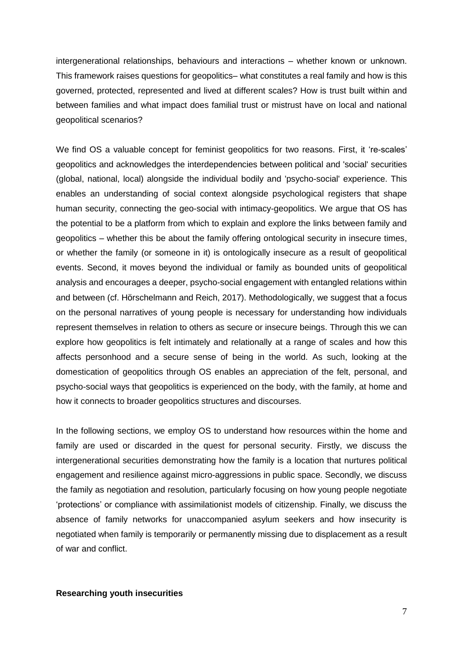intergenerational relationships, behaviours and interactions – whether known or unknown. This framework raises questions for geopolitics– what constitutes a real family and how is this governed, protected, represented and lived at different scales? How is trust built within and between families and what impact does familial trust or mistrust have on local and national geopolitical scenarios?

We find OS a valuable concept for feminist geopolitics for two reasons. First, it 're-scales' geopolitics and acknowledges the interdependencies between political and 'social' securities (global, national, local) alongside the individual bodily and 'psycho-social' experience. This enables an understanding of social context alongside psychological registers that shape human security, connecting the geo-social with intimacy-geopolitics. We argue that OS has the potential to be a platform from which to explain and explore the links between family and geopolitics – whether this be about the family offering ontological security in insecure times, or whether the family (or someone in it) is ontologically insecure as a result of geopolitical events. Second, it moves beyond the individual or family as bounded units of geopolitical analysis and encourages a deeper, psycho-social engagement with entangled relations within and between (cf. Hörschelmann and Reich, 2017). Methodologically, we suggest that a focus on the personal narratives of young people is necessary for understanding how individuals represent themselves in relation to others as secure or insecure beings. Through this we can explore how geopolitics is felt intimately and relationally at a range of scales and how this affects personhood and a secure sense of being in the world. As such, looking at the domestication of geopolitics through OS enables an appreciation of the felt, personal, and psycho-social ways that geopolitics is experienced on the body, with the family, at home and how it connects to broader geopolitics structures and discourses.

In the following sections, we employ OS to understand how resources within the home and family are used or discarded in the quest for personal security. Firstly, we discuss the intergenerational securities demonstrating how the family is a location that nurtures political engagement and resilience against micro-aggressions in public space. Secondly, we discuss the family as negotiation and resolution, particularly focusing on how young people negotiate 'protections' or compliance with assimilationist models of citizenship. Finally, we discuss the absence of family networks for unaccompanied asylum seekers and how insecurity is negotiated when family is temporarily or permanently missing due to displacement as a result of war and conflict.

# **Researching youth insecurities**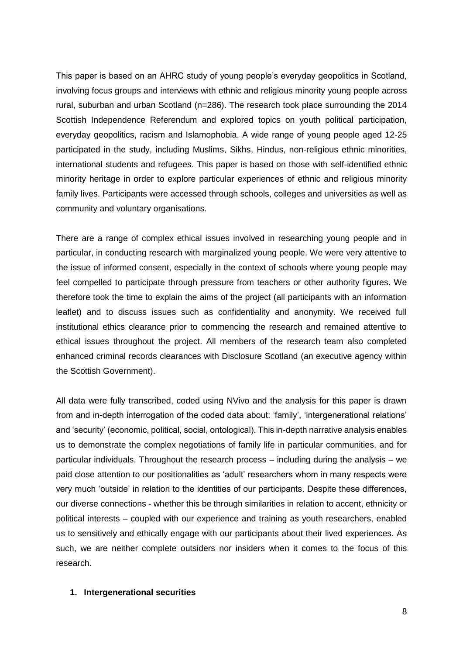This paper is based on an AHRC study of young people's everyday geopolitics in Scotland, involving focus groups and interviews with ethnic and religious minority young people across rural, suburban and urban Scotland (n=286). The research took place surrounding the 2014 Scottish Independence Referendum and explored topics on youth political participation, everyday geopolitics, racism and Islamophobia. A wide range of young people aged 12-25 participated in the study, including Muslims, Sikhs, Hindus, non-religious ethnic minorities, international students and refugees. This paper is based on those with self-identified ethnic minority heritage in order to explore particular experiences of ethnic and religious minority family lives. Participants were accessed through schools, colleges and universities as well as community and voluntary organisations.

There are a range of complex ethical issues involved in researching young people and in particular, in conducting research with marginalized young people. We were very attentive to the issue of informed consent, especially in the context of schools where young people may feel compelled to participate through pressure from teachers or other authority figures. We therefore took the time to explain the aims of the project (all participants with an information leaflet) and to discuss issues such as confidentiality and anonymity. We received full institutional ethics clearance prior to commencing the research and remained attentive to ethical issues throughout the project. All members of the research team also completed enhanced criminal records clearances with Disclosure Scotland (an executive agency within the Scottish Government).

All data were fully transcribed, coded using NVivo and the analysis for this paper is drawn from and in-depth interrogation of the coded data about: 'family', 'intergenerational relations' and 'security' (economic, political, social, ontological). This in-depth narrative analysis enables us to demonstrate the complex negotiations of family life in particular communities, and for particular individuals. Throughout the research process – including during the analysis – we paid close attention to our positionalities as 'adult' researchers whom in many respects were very much 'outside' in relation to the identities of our participants. Despite these differences, our diverse connections - whether this be through similarities in relation to accent, ethnicity or political interests – coupled with our experience and training as youth researchers, enabled us to sensitively and ethically engage with our participants about their lived experiences. As such, we are neither complete outsiders nor insiders when it comes to the focus of this research.

### **1. Intergenerational securities**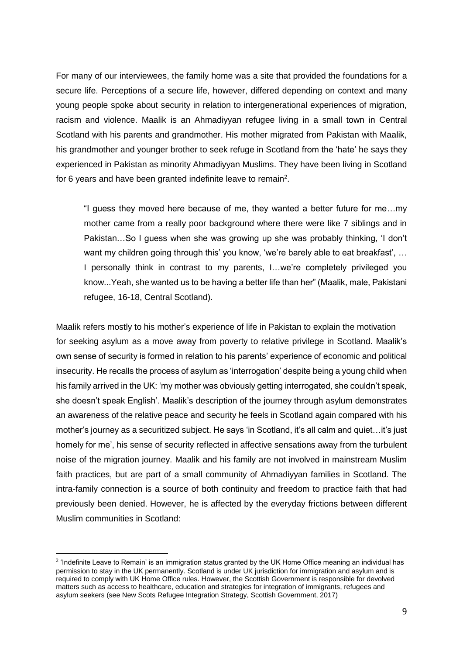For many of our interviewees, the family home was a site that provided the foundations for a secure life. Perceptions of a secure life, however, differed depending on context and many young people spoke about security in relation to intergenerational experiences of migration, racism and violence. Maalik is an Ahmadiyyan refugee living in a small town in Central Scotland with his parents and grandmother. His mother migrated from Pakistan with Maalik, his grandmother and younger brother to seek refuge in Scotland from the 'hate' he says they experienced in Pakistan as minority Ahmadiyyan Muslims. They have been living in Scotland for 6 years and have been granted indefinite leave to remain<sup>2</sup>.

"I guess they moved here because of me, they wanted a better future for me…my mother came from a really poor background where there were like 7 siblings and in Pakistan…So I guess when she was growing up she was probably thinking, 'I don't want my children going through this' you know, 'we're barely able to eat breakfast', ... I personally think in contrast to my parents, I…we're completely privileged you know...Yeah, she wanted us to be having a better life than her" (Maalik, male, Pakistani refugee, 16-18, Central Scotland).

Maalik refers mostly to his mother's experience of life in Pakistan to explain the motivation for seeking asylum as a move away from poverty to relative privilege in Scotland. Maalik's own sense of security is formed in relation to his parents' experience of economic and political insecurity. He recalls the process of asylum as 'interrogation' despite being a young child when his family arrived in the UK: 'my mother was obviously getting interrogated, she couldn't speak, she doesn't speak English'. Maalik's description of the journey through asylum demonstrates an awareness of the relative peace and security he feels in Scotland again compared with his mother's journey as a securitized subject. He says 'in Scotland, it's all calm and quiet…it's just homely for me', his sense of security reflected in affective sensations away from the turbulent noise of the migration journey. Maalik and his family are not involved in mainstream Muslim faith practices, but are part of a small community of Ahmadiyyan families in Scotland. The intra-family connection is a source of both continuity and freedom to practice faith that had previously been denied. However, he is affected by the everyday frictions between different Muslim communities in Scotland:

1

<sup>&</sup>lt;sup>2</sup> 'Indefinite Leave to Remain' is an immigration status granted by the UK Home Office meaning an individual has permission to stay in the UK permanently. Scotland is under UK jurisdiction for immigration and asylum and is required to comply with UK Home Office rules. However, the Scottish Government is responsible for devolved matters such as access to healthcare, education and strategies for integration of immigrants, refugees and asylum seekers (see New Scots Refugee Integration Strategy, Scottish Government, 2017)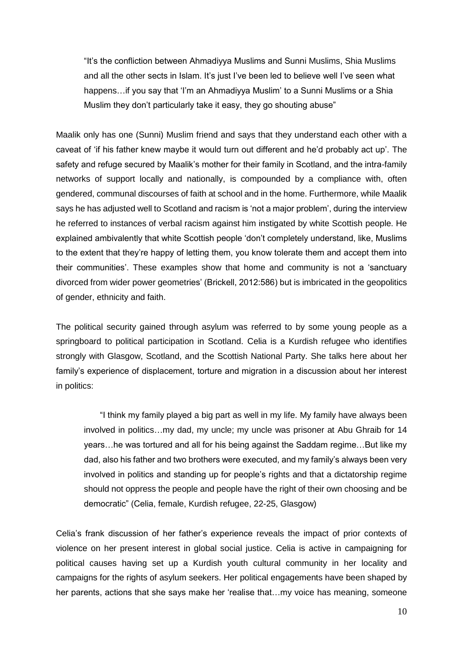"It's the confliction between Ahmadiyya Muslims and Sunni Muslims, Shia Muslims and all the other sects in Islam. It's just I've been led to believe well I've seen what happens... if you say that 'I'm an Ahmadiyya Muslim' to a Sunni Muslims or a Shia Muslim they don't particularly take it easy, they go shouting abuse"

Maalik only has one (Sunni) Muslim friend and says that they understand each other with a caveat of 'if his father knew maybe it would turn out different and he'd probably act up'. The safety and refuge secured by Maalik's mother for their family in Scotland, and the intra-family networks of support locally and nationally, is compounded by a compliance with, often gendered, communal discourses of faith at school and in the home. Furthermore, while Maalik says he has adjusted well to Scotland and racism is 'not a major problem', during the interview he referred to instances of verbal racism against him instigated by white Scottish people. He explained ambivalently that white Scottish people 'don't completely understand, like, Muslims to the extent that they're happy of letting them, you know tolerate them and accept them into their communities'. These examples show that home and community is not a 'sanctuary divorced from wider power geometries' (Brickell, 2012:586) but is imbricated in the geopolitics of gender, ethnicity and faith.

The political security gained through asylum was referred to by some young people as a springboard to political participation in Scotland. Celia is a Kurdish refugee who identifies strongly with Glasgow, Scotland, and the Scottish National Party. She talks here about her family's experience of displacement, torture and migration in a discussion about her interest in politics:

"I think my family played a big part as well in my life. My family have always been involved in politics…my dad, my uncle; my uncle was prisoner at Abu Ghraib for 14 years…he was tortured and all for his being against the Saddam regime…But like my dad, also his father and two brothers were executed, and my family's always been very involved in politics and standing up for people's rights and that a dictatorship regime should not oppress the people and people have the right of their own choosing and be democratic" (Celia, female, Kurdish refugee, 22-25, Glasgow)

Celia's frank discussion of her father's experience reveals the impact of prior contexts of violence on her present interest in global social justice. Celia is active in campaigning for political causes having set up a Kurdish youth cultural community in her locality and campaigns for the rights of asylum seekers. Her political engagements have been shaped by her parents, actions that she says make her 'realise that...my voice has meaning, someone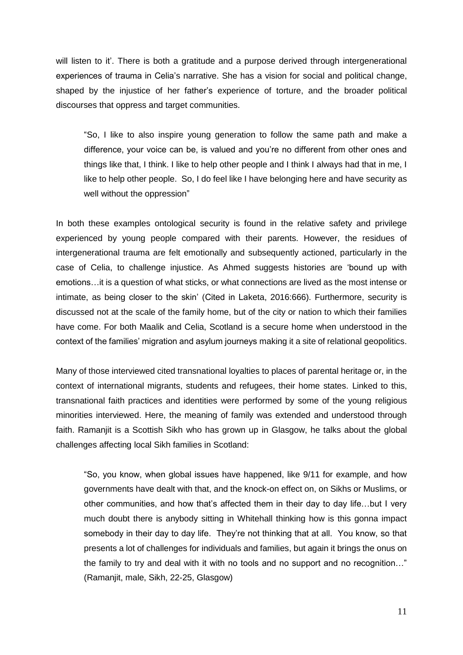will listen to it'. There is both a gratitude and a purpose derived through intergenerational experiences of trauma in Celia's narrative. She has a vision for social and political change, shaped by the injustice of her father's experience of torture, and the broader political discourses that oppress and target communities.

"So, I like to also inspire young generation to follow the same path and make a difference, your voice can be, is valued and you're no different from other ones and things like that, I think. I like to help other people and I think I always had that in me, I like to help other people. So, I do feel like I have belonging here and have security as well without the oppression"

In both these examples ontological security is found in the relative safety and privilege experienced by young people compared with their parents. However, the residues of intergenerational trauma are felt emotionally and subsequently actioned, particularly in the case of Celia, to challenge injustice. As Ahmed suggests histories are 'bound up with emotions…it is a question of what sticks, or what connections are lived as the most intense or intimate, as being closer to the skin' (Cited in Laketa, 2016:666). Furthermore, security is discussed not at the scale of the family home, but of the city or nation to which their families have come. For both Maalik and Celia, Scotland is a secure home when understood in the context of the families' migration and asylum journeys making it a site of relational geopolitics.

Many of those interviewed cited transnational loyalties to places of parental heritage or, in the context of international migrants, students and refugees, their home states. Linked to this, transnational faith practices and identities were performed by some of the young religious minorities interviewed. Here, the meaning of family was extended and understood through faith. Ramanjit is a Scottish Sikh who has grown up in Glasgow, he talks about the global challenges affecting local Sikh families in Scotland:

"So, you know, when global issues have happened, like 9/11 for example, and how governments have dealt with that, and the knock-on effect on, on Sikhs or Muslims, or other communities, and how that's affected them in their day to day life…but I very much doubt there is anybody sitting in Whitehall thinking how is this gonna impact somebody in their day to day life. They're not thinking that at all. You know, so that presents a lot of challenges for individuals and families, but again it brings the onus on the family to try and deal with it with no tools and no support and no recognition…" (Ramanjit, male, Sikh, 22-25, Glasgow)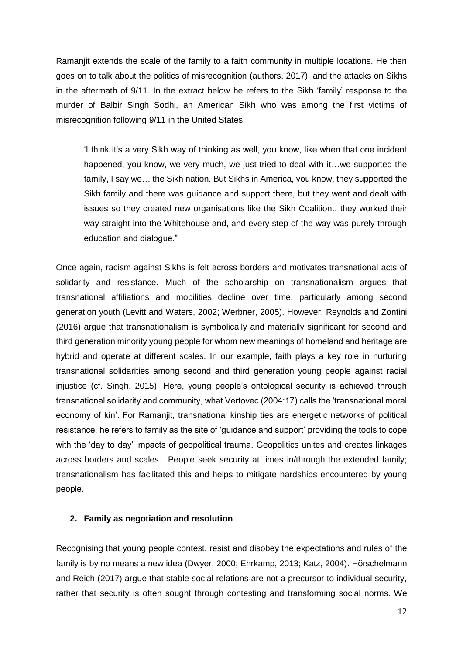Ramanjit extends the scale of the family to a faith community in multiple locations. He then goes on to talk about the politics of misrecognition (authors, 2017), and the attacks on Sikhs in the aftermath of 9/11. In the extract below he refers to the Sikh 'family' response to the murder of Balbir Singh Sodhi, an American Sikh who was among the first victims of misrecognition following 9/11 in the United States.

'I think it's a very Sikh way of thinking as well, you know, like when that one incident happened, you know, we very much, we just tried to deal with it...we supported the family, I say we… the Sikh nation. But Sikhs in America, you know, they supported the Sikh family and there was guidance and support there, but they went and dealt with issues so they created new organisations like the Sikh Coalition.. they worked their way straight into the Whitehouse and, and every step of the way was purely through education and dialogue."

Once again, racism against Sikhs is felt across borders and motivates transnational acts of solidarity and resistance. Much of the scholarship on transnationalism argues that transnational affiliations and mobilities decline over time, particularly among second generation youth (Levitt and Waters, 2002; Werbner, 2005). However, Reynolds and Zontini (2016) argue that transnationalism is symbolically and materially significant for second and third generation minority young people for whom new meanings of homeland and heritage are hybrid and operate at different scales. In our example, faith plays a key role in nurturing transnational solidarities among second and third generation young people against racial injustice (cf. Singh, 2015). Here, young people's ontological security is achieved through transnational solidarity and community, what Vertovec (2004:17) calls the 'transnational moral economy of kin'. For Ramanjit, transnational kinship ties are energetic networks of political resistance, he refers to family as the site of 'guidance and support' providing the tools to cope with the 'day to day' impacts of geopolitical trauma. Geopolitics unites and creates linkages across borders and scales. People seek security at times in/through the extended family; transnationalism has facilitated this and helps to mitigate hardships encountered by young people.

### **2. Family as negotiation and resolution**

Recognising that young people contest, resist and disobey the expectations and rules of the family is by no means a new idea (Dwyer, 2000; Ehrkamp, 2013; Katz, 2004). Hörschelmann and Reich (2017) argue that stable social relations are not a precursor to individual security, rather that security is often sought through contesting and transforming social norms. We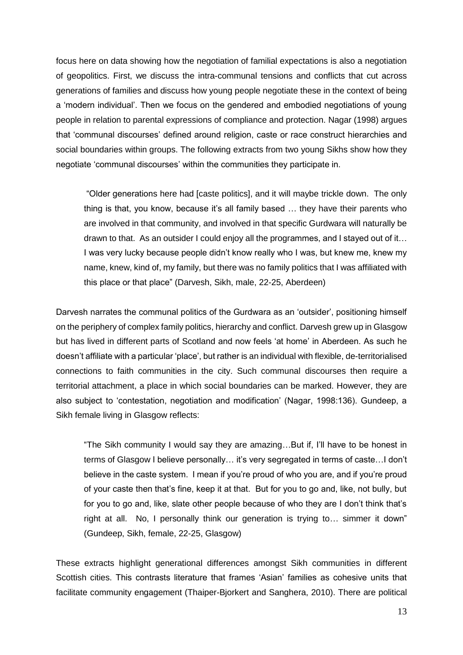focus here on data showing how the negotiation of familial expectations is also a negotiation of geopolitics. First, we discuss the intra-communal tensions and conflicts that cut across generations of families and discuss how young people negotiate these in the context of being a 'modern individual'. Then we focus on the gendered and embodied negotiations of young people in relation to parental expressions of compliance and protection. Nagar (1998) argues that 'communal discourses' defined around religion, caste or race construct hierarchies and social boundaries within groups. The following extracts from two young Sikhs show how they negotiate 'communal discourses' within the communities they participate in.

"Older generations here had [caste politics], and it will maybe trickle down. The only thing is that, you know, because it's all family based … they have their parents who are involved in that community, and involved in that specific Gurdwara will naturally be drawn to that. As an outsider I could enjoy all the programmes, and I stayed out of it… I was very lucky because people didn't know really who I was, but knew me, knew my name, knew, kind of, my family, but there was no family politics that I was affiliated with this place or that place" (Darvesh, Sikh, male, 22-25, Aberdeen)

Darvesh narrates the communal politics of the Gurdwara as an 'outsider', positioning himself on the periphery of complex family politics, hierarchy and conflict. Darvesh grew up in Glasgow but has lived in different parts of Scotland and now feels 'at home' in Aberdeen. As such he doesn't affiliate with a particular 'place', but rather is an individual with flexible, de-territorialised connections to faith communities in the city. Such communal discourses then require a territorial attachment, a place in which social boundaries can be marked. However, they are also subject to 'contestation, negotiation and modification' (Nagar, 1998:136). Gundeep, a Sikh female living in Glasgow reflects:

"The Sikh community I would say they are amazing…But if, I'll have to be honest in terms of Glasgow I believe personally… it's very segregated in terms of caste…I don't believe in the caste system. I mean if you're proud of who you are, and if you're proud of your caste then that's fine, keep it at that. But for you to go and, like, not bully, but for you to go and, like, slate other people because of who they are I don't think that's right at all. No, I personally think our generation is trying to… simmer it down" (Gundeep, Sikh, female, 22-25, Glasgow)

These extracts highlight generational differences amongst Sikh communities in different Scottish cities. This contrasts literature that frames 'Asian' families as cohesive units that facilitate community engagement (Thaiper-Bjorkert and Sanghera, 2010). There are political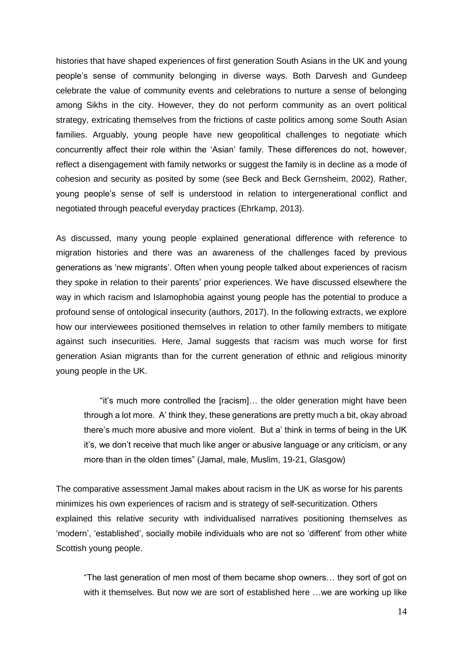histories that have shaped experiences of first generation South Asians in the UK and young people's sense of community belonging in diverse ways. Both Darvesh and Gundeep celebrate the value of community events and celebrations to nurture a sense of belonging among Sikhs in the city. However, they do not perform community as an overt political strategy, extricating themselves from the frictions of caste politics among some South Asian families. Arguably, young people have new geopolitical challenges to negotiate which concurrently affect their role within the 'Asian' family. These differences do not, however, reflect a disengagement with family networks or suggest the family is in decline as a mode of cohesion and security as posited by some (see Beck and Beck Gernsheim, 2002). Rather, young people's sense of self is understood in relation to intergenerational conflict and negotiated through peaceful everyday practices (Ehrkamp, 2013).

As discussed, many young people explained generational difference with reference to migration histories and there was an awareness of the challenges faced by previous generations as 'new migrants'. Often when young people talked about experiences of racism they spoke in relation to their parents' prior experiences. We have discussed elsewhere the way in which racism and Islamophobia against young people has the potential to produce a profound sense of ontological insecurity (authors, 2017). In the following extracts, we explore how our interviewees positioned themselves in relation to other family members to mitigate against such insecurities. Here, Jamal suggests that racism was much worse for first generation Asian migrants than for the current generation of ethnic and religious minority young people in the UK.

"it's much more controlled the [racism]… the older generation might have been through a lot more. A' think they, these generations are pretty much a bit, okay abroad there's much more abusive and more violent. But a' think in terms of being in the UK it's, we don't receive that much like anger or abusive language or any criticism, or any more than in the olden times" (Jamal, male, Muslim, 19-21, Glasgow)

The comparative assessment Jamal makes about racism in the UK as worse for his parents minimizes his own experiences of racism and is strategy of self-securitization. Others explained this relative security with individualised narratives positioning themselves as 'modern', 'established', socially mobile individuals who are not so 'different' from other white Scottish young people.

"The last generation of men most of them became shop owners… they sort of got on with it themselves. But now we are sort of established here …we are working up like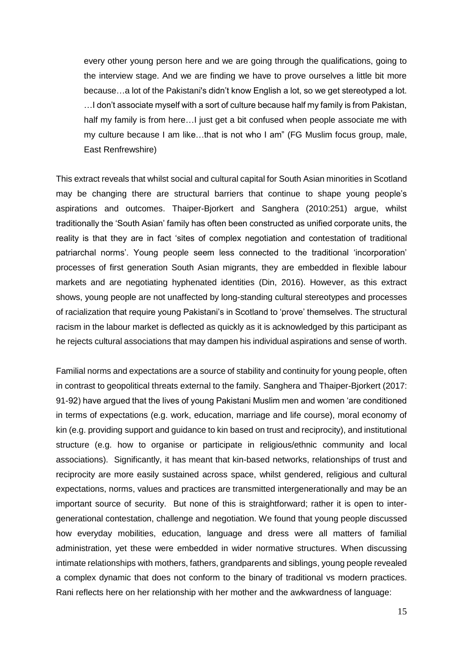every other young person here and we are going through the qualifications, going to the interview stage. And we are finding we have to prove ourselves a little bit more because…a lot of the Pakistani's didn't know English a lot, so we get stereotyped a lot. …I don't associate myself with a sort of culture because half my family is from Pakistan, half my family is from here... I just get a bit confused when people associate me with my culture because I am like…that is not who I am" (FG Muslim focus group, male, East Renfrewshire)

This extract reveals that whilst social and cultural capital for South Asian minorities in Scotland may be changing there are structural barriers that continue to shape young people's aspirations and outcomes. Thaiper-Bjorkert and Sanghera (2010:251) argue, whilst traditionally the 'South Asian' family has often been constructed as unified corporate units, the reality is that they are in fact 'sites of complex negotiation and contestation of traditional patriarchal norms'. Young people seem less connected to the traditional 'incorporation' processes of first generation South Asian migrants, they are embedded in flexible labour markets and are negotiating hyphenated identities (Din, 2016). However, as this extract shows, young people are not unaffected by long-standing cultural stereotypes and processes of racialization that require young Pakistani's in Scotland to 'prove' themselves. The structural racism in the labour market is deflected as quickly as it is acknowledged by this participant as he rejects cultural associations that may dampen his individual aspirations and sense of worth.

Familial norms and expectations are a source of stability and continuity for young people, often in contrast to geopolitical threats external to the family. Sanghera and Thaiper-Bjorkert (2017: 91-92) have argued that the lives of young Pakistani Muslim men and women 'are conditioned in terms of expectations (e.g. work, education, marriage and life course), moral economy of kin (e.g. providing support and guidance to kin based on trust and reciprocity), and institutional structure (e.g. how to organise or participate in religious/ethnic community and local associations). Significantly, it has meant that kin-based networks, relationships of trust and reciprocity are more easily sustained across space, whilst gendered, religious and cultural expectations, norms, values and practices are transmitted intergenerationally and may be an important source of security. But none of this is straightforward; rather it is open to intergenerational contestation, challenge and negotiation. We found that young people discussed how everyday mobilities, education, language and dress were all matters of familial administration, yet these were embedded in wider normative structures. When discussing intimate relationships with mothers, fathers, grandparents and siblings, young people revealed a complex dynamic that does not conform to the binary of traditional vs modern practices. Rani reflects here on her relationship with her mother and the awkwardness of language: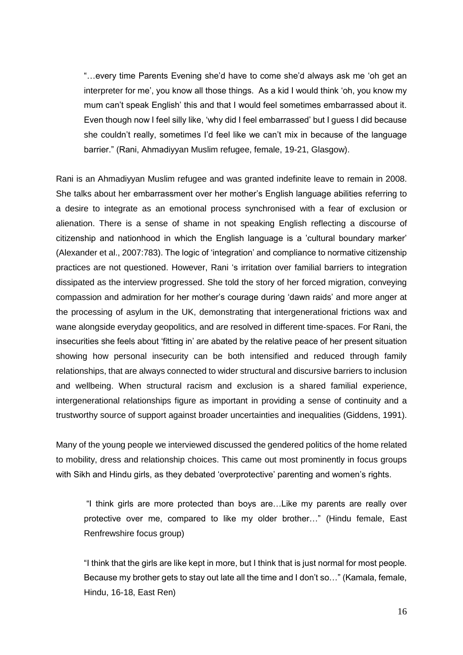"…every time Parents Evening she'd have to come she'd always ask me 'oh get an interpreter for me', you know all those things. As a kid I would think 'oh, you know my mum can't speak English' this and that I would feel sometimes embarrassed about it. Even though now I feel silly like, 'why did I feel embarrassed' but I guess I did because she couldn't really, sometimes I'd feel like we can't mix in because of the language barrier." (Rani, Ahmadiyyan Muslim refugee, female, 19-21, Glasgow).

Rani is an Ahmadiyyan Muslim refugee and was granted indefinite leave to remain in 2008. She talks about her embarrassment over her mother's English language abilities referring to a desire to integrate as an emotional process synchronised with a fear of exclusion or alienation. There is a sense of shame in not speaking English reflecting a discourse of citizenship and nationhood in which the English language is a 'cultural boundary marker' (Alexander et al., 2007:783). The logic of 'integration' and compliance to normative citizenship practices are not questioned. However, Rani 's irritation over familial barriers to integration dissipated as the interview progressed. She told the story of her forced migration, conveying compassion and admiration for her mother's courage during 'dawn raids' and more anger at the processing of asylum in the UK, demonstrating that intergenerational frictions wax and wane alongside everyday geopolitics, and are resolved in different time-spaces. For Rani, the insecurities she feels about 'fitting in' are abated by the relative peace of her present situation showing how personal insecurity can be both intensified and reduced through family relationships, that are always connected to wider structural and discursive barriers to inclusion and wellbeing. When structural racism and exclusion is a shared familial experience, intergenerational relationships figure as important in providing a sense of continuity and a trustworthy source of support against broader uncertainties and inequalities (Giddens, 1991).

Many of the young people we interviewed discussed the gendered politics of the home related to mobility, dress and relationship choices. This came out most prominently in focus groups with Sikh and Hindu girls, as they debated 'overprotective' parenting and women's rights.

"I think girls are more protected than boys are…Like my parents are really over protective over me, compared to like my older brother…" (Hindu female, East Renfrewshire focus group)

"I think that the girls are like kept in more, but I think that is just normal for most people. Because my brother gets to stay out late all the time and I don't so…" (Kamala, female, Hindu, 16-18, East Ren)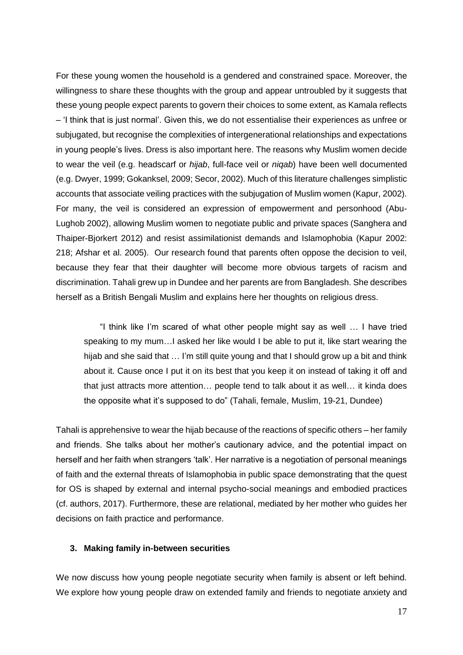For these young women the household is a gendered and constrained space. Moreover, the willingness to share these thoughts with the group and appear untroubled by it suggests that these young people expect parents to govern their choices to some extent, as Kamala reflects – 'I think that is just normal'. Given this, we do not essentialise their experiences as unfree or subjugated, but recognise the complexities of intergenerational relationships and expectations in young people's lives. Dress is also important here. The reasons why Muslim women decide to wear the veil (e.g. headscarf or *hijab*, full-face veil or *niqab*) have been well documented (e.g. Dwyer, 1999; Gokanksel, 2009; Secor, 2002). Much of this literature challenges simplistic accounts that associate veiling practices with the subjugation of Muslim women (Kapur, 2002). For many, the veil is considered an expression of empowerment and personhood (Abu-Lughob 2002), allowing Muslim women to negotiate public and private spaces (Sanghera and Thaiper-Bjorkert 2012) and resist assimilationist demands and Islamophobia (Kapur 2002: 218; Afshar et al. 2005). Our research found that parents often oppose the decision to veil, because they fear that their daughter will become more obvious targets of racism and discrimination. Tahali grew up in Dundee and her parents are from Bangladesh. She describes herself as a British Bengali Muslim and explains here her thoughts on religious dress.

"I think like I'm scared of what other people might say as well … I have tried speaking to my mum…I asked her like would I be able to put it, like start wearing the hijab and she said that ... I'm still quite young and that I should grow up a bit and think about it. Cause once I put it on its best that you keep it on instead of taking it off and that just attracts more attention… people tend to talk about it as well… it kinda does the opposite what it's supposed to do" (Tahali, female, Muslim, 19-21, Dundee)

Tahali is apprehensive to wear the hijab because of the reactions of specific others – her family and friends. She talks about her mother's cautionary advice, and the potential impact on herself and her faith when strangers 'talk'. Her narrative is a negotiation of personal meanings of faith and the external threats of Islamophobia in public space demonstrating that the quest for OS is shaped by external and internal psycho-social meanings and embodied practices (cf. authors, 2017). Furthermore, these are relational, mediated by her mother who guides her decisions on faith practice and performance.

### **3. Making family in-between securities**

We now discuss how young people negotiate security when family is absent or left behind. We explore how young people draw on extended family and friends to negotiate anxiety and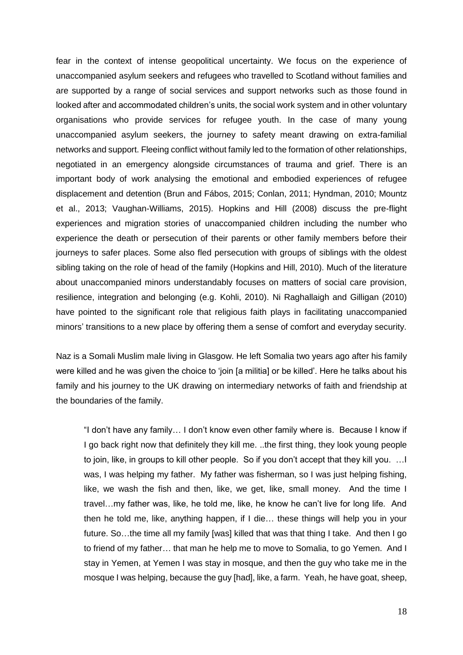fear in the context of intense geopolitical uncertainty. We focus on the experience of unaccompanied asylum seekers and refugees who travelled to Scotland without families and are supported by a range of social services and support networks such as those found in looked after and accommodated children's units, the social work system and in other voluntary organisations who provide services for refugee youth. In the case of many young unaccompanied asylum seekers, the journey to safety meant drawing on extra-familial networks and support. Fleeing conflict without family led to the formation of other relationships, negotiated in an emergency alongside circumstances of trauma and grief. There is an important body of work analysing the emotional and embodied experiences of refugee displacement and detention (Brun and Fábos, 2015; Conlan, 2011; Hyndman, 2010; Mountz et al., 2013; Vaughan-Williams, 2015). Hopkins and Hill (2008) discuss the pre-flight experiences and migration stories of unaccompanied children including the number who experience the death or persecution of their parents or other family members before their journeys to safer places. Some also fled persecution with groups of siblings with the oldest sibling taking on the role of head of the family (Hopkins and Hill, 2010). Much of the literature about unaccompanied minors understandably focuses on matters of social care provision, resilience, integration and belonging (e.g. Kohli, 2010). Ni Raghallaigh and Gilligan (2010) have pointed to the significant role that religious faith plays in facilitating unaccompanied minors' transitions to a new place by offering them a sense of comfort and everyday security.

Naz is a Somali Muslim male living in Glasgow. He left Somalia two years ago after his family were killed and he was given the choice to 'join [a militia] or be killed'. Here he talks about his family and his journey to the UK drawing on intermediary networks of faith and friendship at the boundaries of the family.

"I don't have any family… I don't know even other family where is. Because I know if I go back right now that definitely they kill me. ..the first thing, they look young people to join, like, in groups to kill other people. So if you don't accept that they kill you. …I was, I was helping my father. My father was fisherman, so I was just helping fishing, like, we wash the fish and then, like, we get, like, small money. And the time I travel…my father was, like, he told me, like, he know he can't live for long life. And then he told me, like, anything happen, if I die… these things will help you in your future. So…the time all my family [was] killed that was that thing I take. And then I go to friend of my father… that man he help me to move to Somalia, to go Yemen. And I stay in Yemen, at Yemen I was stay in mosque, and then the guy who take me in the mosque I was helping, because the guy [had], like, a farm. Yeah, he have goat, sheep,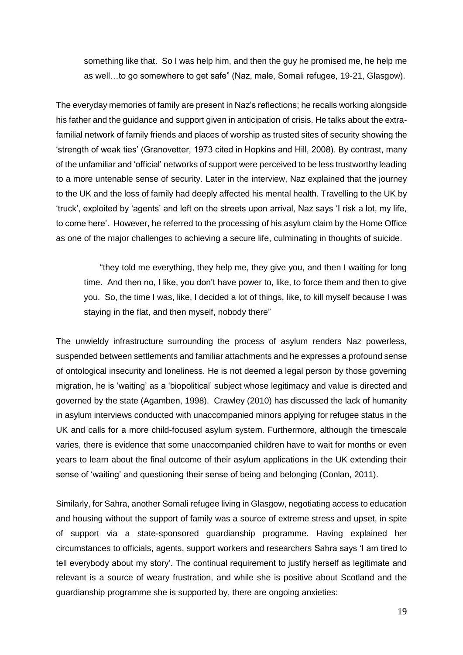something like that. So I was help him, and then the guy he promised me, he help me as well…to go somewhere to get safe" (Naz, male, Somali refugee, 19-21, Glasgow).

The everyday memories of family are present in Naz's reflections; he recalls working alongside his father and the guidance and support given in anticipation of crisis. He talks about the extrafamilial network of family friends and places of worship as trusted sites of security showing the 'strength of weak ties' (Granovetter, 1973 cited in Hopkins and Hill, 2008). By contrast, many of the unfamiliar and 'official' networks of support were perceived to be less trustworthy leading to a more untenable sense of security. Later in the interview, Naz explained that the journey to the UK and the loss of family had deeply affected his mental health. Travelling to the UK by 'truck', exploited by 'agents' and left on the streets upon arrival, Naz says 'I risk a lot, my life, to come here'. However, he referred to the processing of his asylum claim by the Home Office as one of the major challenges to achieving a secure life, culminating in thoughts of suicide.

"they told me everything, they help me, they give you, and then I waiting for long time. And then no, I like, you don't have power to, like, to force them and then to give you. So, the time I was, like, I decided a lot of things, like, to kill myself because I was staying in the flat, and then myself, nobody there"

The unwieldy infrastructure surrounding the process of asylum renders Naz powerless, suspended between settlements and familiar attachments and he expresses a profound sense of ontological insecurity and loneliness. He is not deemed a legal person by those governing migration, he is 'waiting' as a 'biopolitical' subject whose legitimacy and value is directed and governed by the state (Agamben, 1998). Crawley (2010) has discussed the lack of humanity in asylum interviews conducted with unaccompanied minors applying for refugee status in the UK and calls for a more child-focused asylum system. Furthermore, although the timescale varies, there is evidence that some unaccompanied children have to wait for months or even years to learn about the final outcome of their asylum applications in the UK extending their sense of 'waiting' and questioning their sense of being and belonging (Conlan, 2011).

Similarly, for Sahra, another Somali refugee living in Glasgow, negotiating access to education and housing without the support of family was a source of extreme stress and upset, in spite of support via a state-sponsored guardianship programme. Having explained her circumstances to officials, agents, support workers and researchers Sahra says 'I am tired to tell everybody about my story'. The continual requirement to justify herself as legitimate and relevant is a source of weary frustration, and while she is positive about Scotland and the guardianship programme she is supported by, there are ongoing anxieties: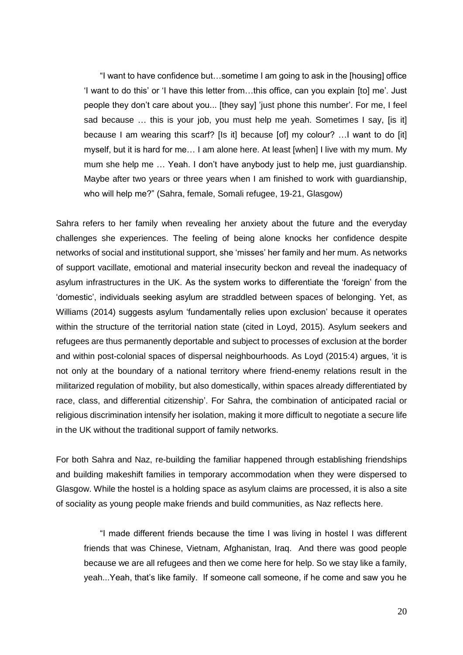"I want to have confidence but…sometime I am going to ask in the [housing] office 'I want to do this' or 'I have this letter from…this office, can you explain [to] me'. Just people they don't care about you... [they say] 'just phone this number'. For me, I feel sad because ... this is your job, you must help me yeah. Sometimes I say, [is it] because I am wearing this scarf? [Is it] because [of] my colour? …I want to do [it] myself, but it is hard for me… I am alone here. At least [when] I live with my mum. My mum she help me … Yeah. I don't have anybody just to help me, just guardianship. Maybe after two years or three years when I am finished to work with guardianship, who will help me?" (Sahra, female, Somali refugee, 19-21, Glasgow)

Sahra refers to her family when revealing her anxiety about the future and the everyday challenges she experiences. The feeling of being alone knocks her confidence despite networks of social and institutional support, she 'misses' her family and her mum. As networks of support vacillate, emotional and material insecurity beckon and reveal the inadequacy of asylum infrastructures in the UK. As the system works to differentiate the 'foreign' from the 'domestic', individuals seeking asylum are straddled between spaces of belonging. Yet, as Williams (2014) suggests asylum 'fundamentally relies upon exclusion' because it operates within the structure of the territorial nation state (cited in Loyd, 2015). Asylum seekers and refugees are thus permanently deportable and subject to processes of exclusion at the border and within post-colonial spaces of dispersal neighbourhoods. As Loyd (2015:4) argues, 'it is not only at the boundary of a national territory where friend-enemy relations result in the militarized regulation of mobility, but also domestically, within spaces already differentiated by race, class, and differential citizenship'. For Sahra, the combination of anticipated racial or religious discrimination intensify her isolation, making it more difficult to negotiate a secure life in the UK without the traditional support of family networks.

For both Sahra and Naz, re-building the familiar happened through establishing friendships and building makeshift families in temporary accommodation when they were dispersed to Glasgow. While the hostel is a holding space as asylum claims are processed, it is also a site of sociality as young people make friends and build communities, as Naz reflects here.

"I made different friends because the time I was living in hostel I was different friends that was Chinese, Vietnam, Afghanistan, Iraq. And there was good people because we are all refugees and then we come here for help. So we stay like a family, yeah...Yeah, that's like family. If someone call someone, if he come and saw you he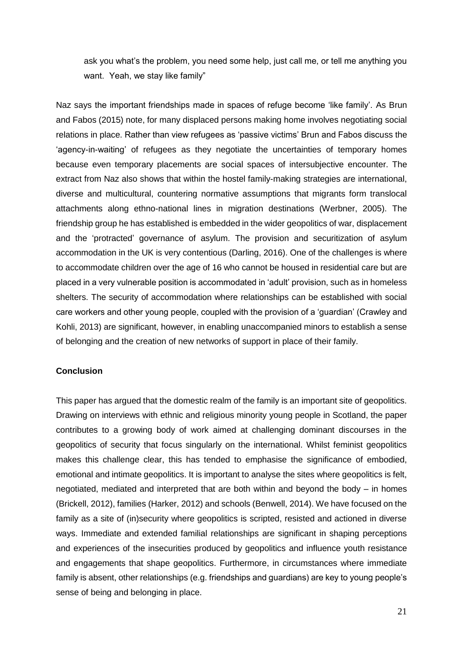ask you what's the problem, you need some help, just call me, or tell me anything you want. Yeah, we stay like family"

Naz says the important friendships made in spaces of refuge become 'like family'. As Brun and Fabos (2015) note, for many displaced persons making home involves negotiating social relations in place. Rather than view refugees as 'passive victims' Brun and Fabos discuss the 'agency-in-waiting' of refugees as they negotiate the uncertainties of temporary homes because even temporary placements are social spaces of intersubjective encounter. The extract from Naz also shows that within the hostel family-making strategies are international, diverse and multicultural, countering normative assumptions that migrants form translocal attachments along ethno-national lines in migration destinations (Werbner, 2005). The friendship group he has established is embedded in the wider geopolitics of war, displacement and the 'protracted' governance of asylum. The provision and securitization of asylum accommodation in the UK is very contentious (Darling, 2016). One of the challenges is where to accommodate children over the age of 16 who cannot be housed in residential care but are placed in a very vulnerable position is accommodated in 'adult' provision, such as in homeless shelters. The security of accommodation where relationships can be established with social care workers and other young people, coupled with the provision of a 'guardian' (Crawley and Kohli, 2013) are significant, however, in enabling unaccompanied minors to establish a sense of belonging and the creation of new networks of support in place of their family.

### **Conclusion**

This paper has argued that the domestic realm of the family is an important site of geopolitics. Drawing on interviews with ethnic and religious minority young people in Scotland, the paper contributes to a growing body of work aimed at challenging dominant discourses in the geopolitics of security that focus singularly on the international. Whilst feminist geopolitics makes this challenge clear, this has tended to emphasise the significance of embodied, emotional and intimate geopolitics. It is important to analyse the sites where geopolitics is felt, negotiated, mediated and interpreted that are both within and beyond the body – in homes (Brickell, 2012), families (Harker, 2012) and schools (Benwell, 2014). We have focused on the family as a site of (in)security where geopolitics is scripted, resisted and actioned in diverse ways. Immediate and extended familial relationships are significant in shaping perceptions and experiences of the insecurities produced by geopolitics and influence youth resistance and engagements that shape geopolitics. Furthermore, in circumstances where immediate family is absent, other relationships (e.g. friendships and guardians) are key to young people's sense of being and belonging in place.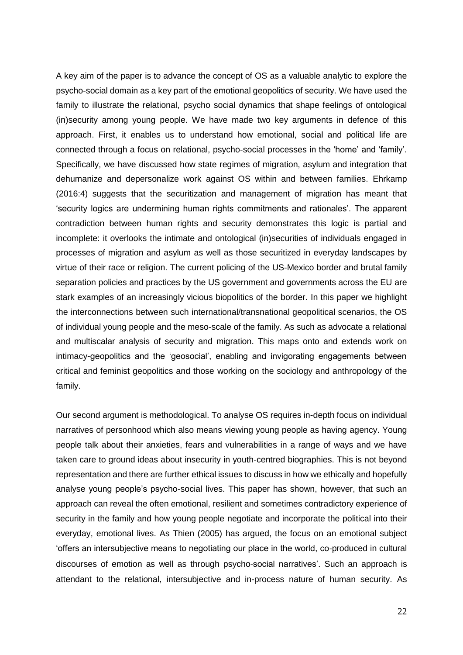A key aim of the paper is to advance the concept of OS as a valuable analytic to explore the psycho-social domain as a key part of the emotional geopolitics of security. We have used the family to illustrate the relational, psycho social dynamics that shape feelings of ontological (in)security among young people. We have made two key arguments in defence of this approach. First, it enables us to understand how emotional, social and political life are connected through a focus on relational, psycho-social processes in the 'home' and 'family'. Specifically, we have discussed how state regimes of migration, asylum and integration that dehumanize and depersonalize work against OS within and between families. Ehrkamp (2016:4) suggests that the securitization and management of migration has meant that 'security logics are undermining human rights commitments and rationales'. The apparent contradiction between human rights and security demonstrates this logic is partial and incomplete: it overlooks the intimate and ontological (in)securities of individuals engaged in processes of migration and asylum as well as those securitized in everyday landscapes by virtue of their race or religion. The current policing of the US-Mexico border and brutal family separation policies and practices by the US government and governments across the EU are stark examples of an increasingly vicious biopolitics of the border. In this paper we highlight the interconnections between such international/transnational geopolitical scenarios, the OS of individual young people and the meso-scale of the family. As such as advocate a relational and multiscalar analysis of security and migration. This maps onto and extends work on intimacy-geopolitics and the 'geosocial', enabling and invigorating engagements between critical and feminist geopolitics and those working on the sociology and anthropology of the family.

Our second argument is methodological. To analyse OS requires in-depth focus on individual narratives of personhood which also means viewing young people as having agency. Young people talk about their anxieties, fears and vulnerabilities in a range of ways and we have taken care to ground ideas about insecurity in youth-centred biographies. This is not beyond representation and there are further ethical issues to discuss in how we ethically and hopefully analyse young people's psycho-social lives. This paper has shown, however, that such an approach can reveal the often emotional, resilient and sometimes contradictory experience of security in the family and how young people negotiate and incorporate the political into their everyday, emotional lives. As Thien (2005) has argued, the focus on an emotional subject 'offers an intersubjective means to negotiating our place in the world, co‐produced in cultural discourses of emotion as well as through psycho‐social narratives'. Such an approach is attendant to the relational, intersubjective and in-process nature of human security. As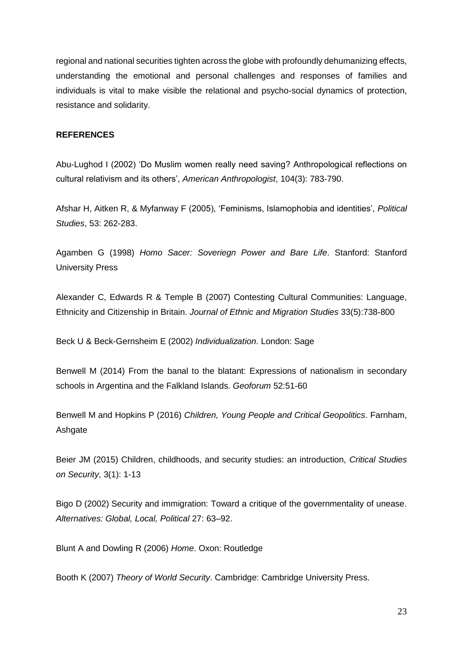regional and national securities tighten across the globe with profoundly dehumanizing effects, understanding the emotional and personal challenges and responses of families and individuals is vital to make visible the relational and psycho-social dynamics of protection, resistance and solidarity.

### **REFERENCES**

Abu-Lughod I (2002) 'Do Muslim women really need saving? Anthropological reflections on cultural relativism and its others', *American Anthropologist*, 104(3): 783-790.

Afshar H, Aitken R, & Myfanway F (2005), 'Feminisms, Islamophobia and identities', *Political Studies*, 53: 262-283.

Agamben G (1998) *Homo Sacer: Soveriegn Power and Bare Life*. Stanford: Stanford University Press

Alexander C, Edwards R & Temple B (2007) Contesting Cultural Communities: Language, Ethnicity and Citizenship in Britain. *Journal of Ethnic and Migration Studies* 33(5):738-800

Beck U & Beck-Gernsheim E (2002) *Individualization*. London: Sage

Benwell M (2014) From the banal to the blatant: Expressions of nationalism in secondary schools in Argentina and the Falkland Islands. *Geoforum* 52:51-60

Benwell M and Hopkins P (2016) *Children, Young People and Critical Geopolitics*. Farnham, Ashgate

Beier JM (2015) Children, childhoods, and security studies: an introduction, *Critical Studies on Security*, 3(1): 1-13

Bigo D (2002) Security and immigration: Toward a critique of the governmentality of unease. *Alternatives: Global, Local, Political* 27: 63–92.

Blunt A and Dowling R (2006) *Home*. Oxon: Routledge

Booth K (2007) *Theory of World Security*. Cambridge: Cambridge University Press.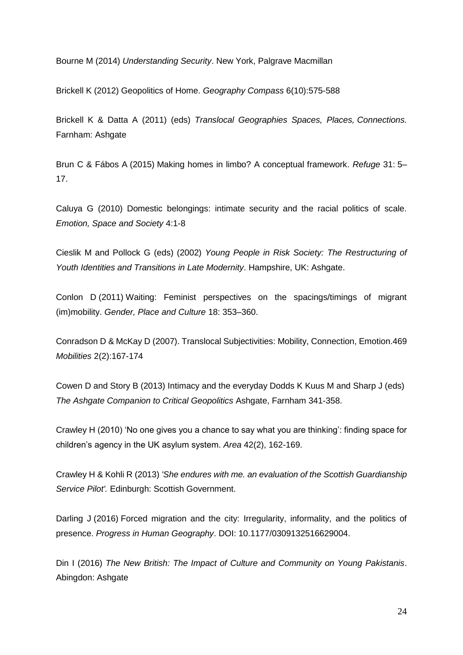Bourne M (2014) *Understanding Security*. New York, Palgrave Macmillan

Brickell K (2012) Geopolitics of Home. *Geography Compass* 6(10):575-588

Brickell K & Datta A (2011) (eds) *Translocal Geographies Spaces, Places, Connections.* Farnham: Ashgate

Brun C & Fábos A (2015) Making homes in limbo? A conceptual framework. *Refuge* 31: 5– 17.

Caluya G (2010) Domestic belongings: intimate security and the racial politics of scale. *Emotion, Space and Society* 4:1-8

Cieslik M and Pollock G (eds) (2002) *Young People in Risk Society: The Restructuring of Youth Identities and Transitions in Late Modernity*. Hampshire, UK: Ashgate.

Conlon D (2011) Waiting: Feminist perspectives on the spacings/timings of migrant (im)mobility. *Gender, Place and Culture* 18: 353–360.

Conradson D & McKay D (2007). Translocal Subjectivities: Mobility, Connection, Emotion.469 *Mobilities* 2(2):167-174

Cowen D and Story B (2013) Intimacy and the everyday Dodds K Kuus M and Sharp J (eds) *The Ashgate Companion to Critical Geopolitics* Ashgate, Farnham 341-358.

Crawley H (2010) 'No one gives you a chance to say what you are thinking': finding space for children's agency in the UK asylum system. *Area* 42(2), 162-169.

Crawley H & Kohli R (2013) *'She endures with me. an evaluation of the Scottish Guardianship Service Pilot'.* Edinburgh: Scottish Government.

Darling J (2016) Forced migration and the city: Irregularity, informality, and the politics of presence. *Progress in Human Geography*. DOI: 10.1177/0309132516629004.

Din I (2016) *The New British: The Impact of Culture and Community on Young Pakistanis*. Abingdon: Ashgate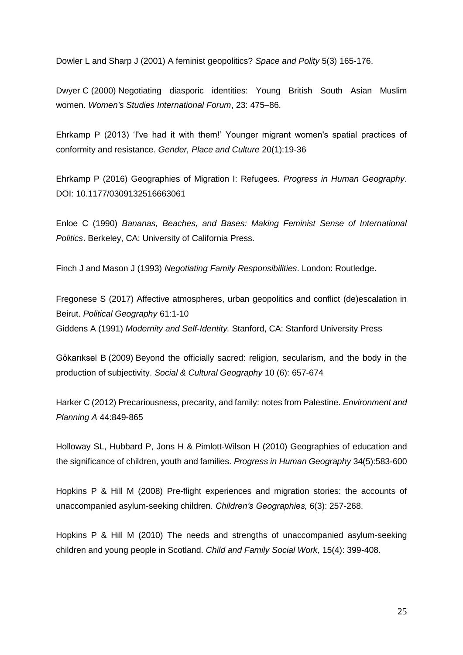Dowler L and Sharp J (2001) A feminist geopolitics? *Space and Polity* 5(3) 165-176.

Dwyer C (2000) Negotiating diasporic identities: Young British South Asian Muslim women. *Women's Studies International Forum*, 23: 475–86.

Ehrkamp P (2013) 'I've had it with them!' Younger migrant women's spatial practices of conformity and resistance. *Gender, Place and Culture* 20(1):19-36

Ehrkamp P (2016) Geographies of Migration I: Refugees. *Progress in Human Geography*. DOI: 10.1177/0309132516663061

Enloe C (1990) *Bananas, Beaches, and Bases: Making Feminist Sense of International Politics*. Berkeley, CA: University of California Press.

Finch J and Mason J (1993) *Negotiating Family Responsibilities*. London: Routledge.

Fregonese S (2017) Affective atmospheres, urban geopolitics and conflict (de)escalation in Beirut. *Political Geography* 61:1-10 Giddens A (1991) *Modernity and Self-Identity.* Stanford, CA: Stanford University Press

Gökarıksel B (2009) Beyond the officially sacred: religion, secularism, and the body in the production of subjectivity. *Social & Cultural Geography* 10 (6): 657-674

Harker C (2012) Precariousness, precarity, and family: notes from Palestine. *Environment and Planning A* 44:849-865

Holloway SL, Hubbard P, Jons H & Pimlott-Wilson H (2010) Geographies of education and the significance of children, youth and families. *Progress in Human Geography* 34(5):583-600

Hopkins P & Hill M (2008) Pre-flight experiences and migration stories: the accounts of unaccompanied asylum-seeking children. *Children's Geographies,* 6(3): 257-268.

Hopkins P & Hill M (2010) The needs and strengths of unaccompanied asylum-seeking children and young people in Scotland. *Child and Family Social Work*, 15(4): 399-408.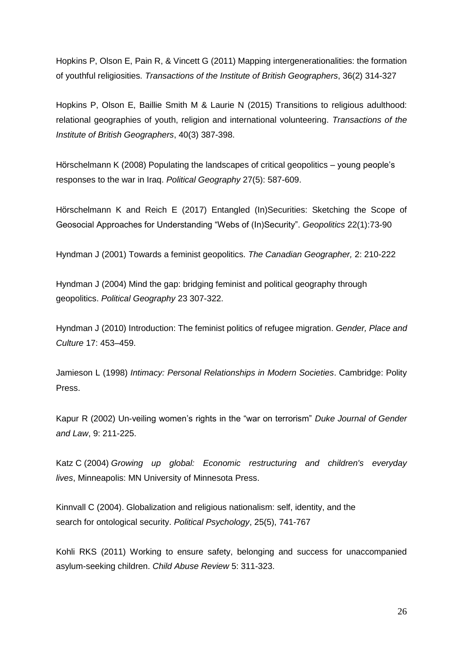Hopkins P, Olson E, Pain R, & Vincett G (2011) Mapping intergenerationalities: the formation of youthful religiosities. *Transactions of the Institute of British Geographers*, 36(2) 314-327

Hopkins P, Olson E, Baillie Smith M & Laurie N (2015) Transitions to religious adulthood: relational geographies of youth, religion and international volunteering. *Transactions of the Institute of British Geographers*, 40(3) 387-398.

Hörschelmann K (2008) Populating the landscapes of critical geopolitics – young people's responses to the war in Iraq. *Political Geography* 27(5): 587-609.

Hörschelmann K and Reich E (2017) Entangled (In)Securities: Sketching the Scope of Geosocial Approaches for Understanding "Webs of (In)Security". *Geopolitics* 22(1):73-90

Hyndman J (2001) Towards a feminist geopolitics. *The Canadian Geographer,* 2: 210-222

Hyndman J (2004) Mind the gap: bridging feminist and political geography through geopolitics. *Political Geography* 23 307-322.

Hyndman J (2010) Introduction: The feminist politics of refugee migration. *Gender, Place and Culture* 17: 453–459.

Jamieson L (1998) *Intimacy: Personal Relationships in Modern Societies*. Cambridge: Polity Press.

Kapur R (2002) Un-veiling women's rights in the "war on terrorism" *Duke Journal of Gender and Law*, 9: 211-225.

Katz C (2004) *Growing up global: Economic restructuring and children's everyday lives*, Minneapolis: MN University of Minnesota Press.

Kinnvall C (2004). Globalization and religious nationalism: self, identity, and the search for ontological security. *Political Psychology*, 25(5), 741-767

Kohli RKS (2011) Working to ensure safety, belonging and success for unaccompanied asylum-seeking children. *Child Abuse Review* 5: 311-323.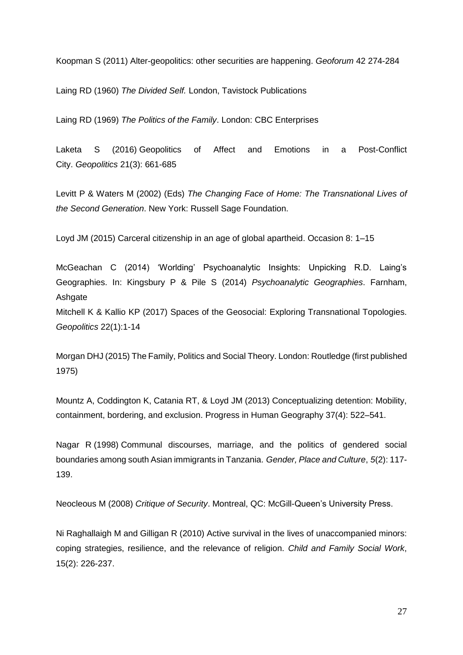Koopman S (2011) Alter-geopolitics: other securities are happening. *Geoforum* 42 274-284

Laing RD (1960) *The Divided Self.* London, Tavistock Publications

Laing RD (1969) *The Politics of the Family*. London: CBC Enterprises

Laketa S (2016) Geopolitics of Affect and Emotions in a Post-Conflict City. *Geopolitics* 21(3): 661-685

Levitt P & Waters M (2002) (Eds) *The Changing Face of Home: The Transnational Lives of the Second Generation*. New York: Russell Sage Foundation.

Loyd JM (2015) Carceral citizenship in an age of global apartheid. Occasion 8: 1–15

McGeachan C (2014) 'Worlding' Psychoanalytic Insights: Unpicking R.D. Laing's Geographies. In: Kingsbury P & Pile S (2014) *Psychoanalytic Geographies*. Farnham, Ashgate

Mitchell K & Kallio KP (2017) Spaces of the Geosocial: Exploring Transnational Topologies. *Geopolitics* 22(1):1-14

Morgan DHJ (2015) The Family, Politics and Social Theory. London: Routledge (first published 1975)

Mountz A, Coddington K, Catania RT, & Loyd JM (2013) Conceptualizing detention: Mobility, containment, bordering, and exclusion. Progress in Human Geography 37(4): 522–541.

Nagar R (1998) Communal discourses, marriage, and the politics of gendered social boundaries among south Asian immigrants in Tanzania. *Gender, Place and Culture*, *5*(2): 117- 139.

Neocleous M (2008) *Critique of Security*. Montreal, QC: McGill-Queen's University Press.

Ni Raghallaigh M and Gilligan R (2010) Active survival in the lives of unaccompanied minors: coping strategies, resilience, and the relevance of religion. *Child and Family Social Work*, 15(2): 226-237.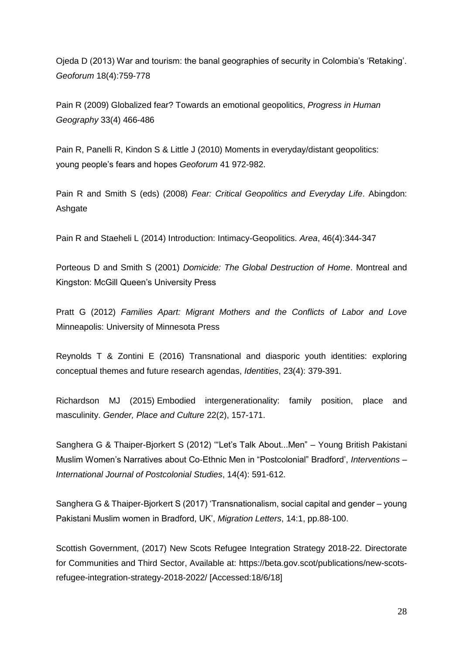Ojeda D (2013) War and tourism: the banal geographies of security in Colombia's 'Retaking'. *Geoforum* 18(4):759-778

Pain R (2009) Globalized fear? Towards an emotional geopolitics, *Progress in Human Geography* 33(4) 466-486

Pain R, Panelli R, Kindon S & Little J (2010) Moments in everyday/distant geopolitics: young people's fears and hopes *Geoforum* 41 972-982.

Pain R and Smith S (eds) (2008) *Fear: Critical Geopolitics and Everyday Life*. Abingdon: **Ashgate** 

Pain R and Staeheli L (2014) Introduction: Intimacy-Geopolitics. *Area*, 46(4):344-347

Porteous D and Smith S (2001) *Domicide: The Global Destruction of Home*. Montreal and Kingston: McGill Queen's University Press

Pratt G (2012) *Families Apart: Migrant Mothers and the Conflicts of Labor and Love*  Minneapolis: University of Minnesota Press

Reynolds T & Zontini E (2016) Transnational and diasporic youth identities: exploring conceptual themes and future research agendas, *Identities*, 23(4): 379-391.

Richardson MJ (2015) Embodied intergenerationality: family position, place and masculinity. *Gender, Place and Culture* 22(2), 157-171.

Sanghera G & Thaiper-Bjorkert S (2012) '"Let's Talk About...Men" – Young British Pakistani Muslim Women's Narratives about Co-Ethnic Men in "Postcolonial" Bradford', *Interventions – International Journal of Postcolonial Studies*, 14(4): 591-612.

Sanghera G & Thaiper-Bjorkert S (2017) 'Transnationalism, social capital and gender – young Pakistani Muslim women in Bradford, UK', *Migration Letters*, 14:1, pp.88-100.

Scottish Government, (2017) New Scots Refugee Integration Strategy 2018-22. Directorate for Communities and Third Sector, Available at: https://beta.gov.scot/publications/new-scotsrefugee-integration-strategy-2018-2022/ [Accessed:18/6/18]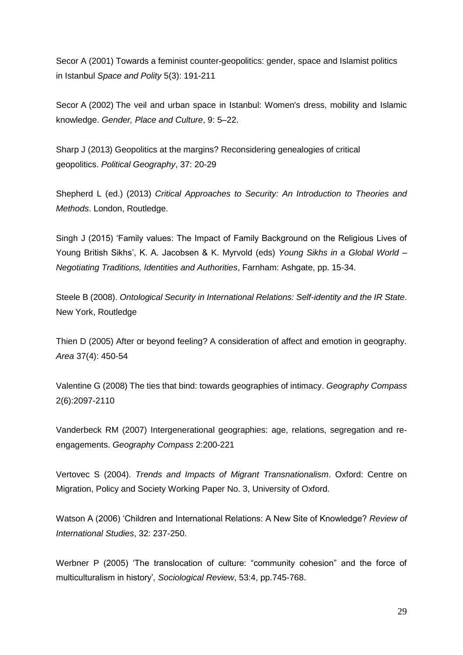Secor A (2001) Towards a feminist counter-geopolitics: gender, space and Islamist politics in Istanbul *Space and Polity* 5(3): 191-211

Secor A (2002) The veil and urban space in Istanbul: Women's dress, mobility and Islamic knowledge. *Gender, Place and Culture*, 9: 5–22.

Sharp J (2013) Geopolitics at the margins? Reconsidering genealogies of critical geopolitics. *Political Geography*, 37: 20-29

Shepherd L (ed.) (2013) *Critical Approaches to Security: An Introduction to Theories and Methods*. London, Routledge.

Singh J (2015) 'Family values: The Impact of Family Background on the Religious Lives of Young British Sikhs', K. A. Jacobsen & K. Myrvold (eds) *Young Sikhs in a Global World – Negotiating Traditions, Identities and Authorities*, Farnham: Ashgate, pp. 15-34.

Steele B (2008). *Ontological Security in International Relations: Self-identity and the IR State*. New York, Routledge

Thien D (2005) After or beyond feeling? A consideration of affect and emotion in geography. *Area* 37(4): 450-54

Valentine G (2008) The ties that bind: towards geographies of intimacy. *Geography Compass*  2(6):2097-2110

Vanderbeck RM (2007) Intergenerational geographies: age, relations, segregation and reengagements. *Geography Compass* 2:200-221

Vertovec S (2004). *Trends and Impacts of Migrant Transnationalism*. Oxford: Centre on Migration, Policy and Society Working Paper No. 3, University of Oxford.

Watson A (2006) 'Children and International Relations: A New Site of Knowledge? *Review of International Studies*, 32: 237-250.

Werbner P (2005) 'The translocation of culture: "community cohesion" and the force of multiculturalism in history'*, Sociological Review*, 53:4, pp.745-768.